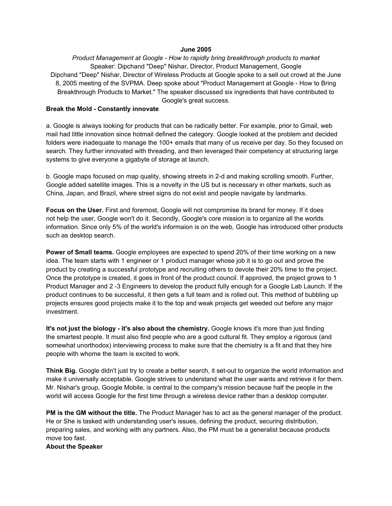## **June 2005**

*Product Management at Google - How to rapidly bring breakthrough products to market* Speaker: Dipchand "Deep" Nishar, Director, Product Management, Google Dipchand "Deep" Nishar, Director of Wireless Products at Google spoke to a sell out crowd at the June 8, 2005 meeting of the SVPMA. Deep spoke about "Product Management at Google - How to Bring Breakthrough Products to Market." The speaker discussed six ingredients that have contributed to Google's great success.

## **Break the Mold - Constantly innovate**

a. Google is always looking for products that can be radically better. For example, prior to Gmail, web mail had little innovation since hotmail defined the category. Google looked at the problem and decided folders were inadequate to manage the 100+ emails that many of us receive per day. So they focused on search. They further innovated with threading, and then leveraged their competency at structuring large systems to give everyone a gigabyte of storage at launch.

b. Google maps focused on map quality, showing streets in 2-d and making scrolling smooth. Further, Google added satellite images. This is a novelty in the US but is necessary in other markets, such as China, Japan, and Brazil, where street signs do not exist and people navigate by landmarks.

**Focus on the User.** First and foremost, Google will not compromise its brand for money. If it does not help the user, Google won't do it. Secondly, Google's core mission is to organize all the worlds information. Since only 5% of the world's informaion is on the web, Google has introduced other products such as desktop search.

**Power of Small teams.** Google employees are expected to spend 20% of their time working on a new idea. The team starts with 1 engineer or 1 product manager whose job it is to go out and prove the product by creating a successful prototype and recruiting others to devote their 20% time to the project. Once the prototype is created, it goes in front of the product council. If approved, the project grows to 1 Product Manager and 2 -3 Engineers to develop the product fully enough for a Google Lab Launch. If the product continues to be successful, it then gets a full team and is rolled out. This method of bubbling up projects ensures good projects make it to the top and weak projects get weeded out before any major investment.

**It's not just the biology - it's also about the chemistry.** Google knows it's more than just finding the smartest people. It must also find people who are a good cultural fit. They employ a rigorous (and somewhat unorthodox) interviewing process to make sure that the chemistry is a fit and that they hire people with whome the team is excited to work.

**Think Big.** Google didn't just try to create a better search, it set-out to organize the world information and make it universally acceptable. Google strives to understand what the user wants and retrieve it for them. Mr. Nishar's group, Google Mobile, is central to the company's mission because half the people in the world will access Google for the first time through a wireless device rather than a desktop computer.

**PM is the GM without the title.** The Product Manager has to act as the general manager of the product. He or She is tasked with understanding user's issues, defining the product, securing distribution, preparing sales, and working with any partners. Also, the PM must be a generalist because products move too fast.

**About the Speaker**